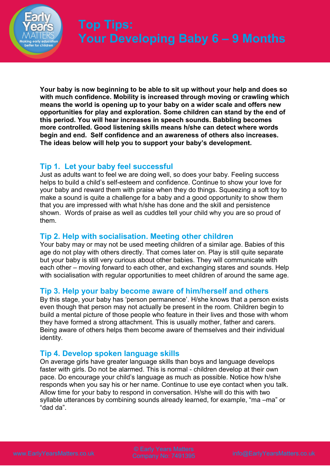

**Your baby is now beginning to be able to sit up without your help and does so with much confidence. Mobility is increased through moving or crawling which means the world is opening up to your baby on a wider scale and offers new opportunities for play and exploration. Some children can stand by the end of this period. You will hear increases in speech sounds. Babbling becomes more controlled. Good listening skills means h/she can detect where words begin and end. Self confidence and an awareness of others also increases. The ideas below will help you to support your baby's development.**

# **Tip 1. Let your baby feel successful**

Just as adults want to feel we are doing well, so does your baby. Feeling success helps to build a child's self-esteem and confidence. Continue to show your love for your baby and reward them with praise when they do things. Squeezing a soft toy to make a sound is quite a challenge for a baby and a good opportunity to show them that you are impressed with what h/she has done and the skill and persistence shown. Words of praise as well as cuddles tell your child why you are so proud of them.

# **Tip 2. Help with socialisation. Meeting other children**

Your baby may or may not be used meeting children of a similar age. Babies of this age do not play with others directly. That comes later on. Play is still quite separate but your baby is still very curious about other babies. They will communicate with each other – moving forward to each other, and exchanging stares and sounds. Help with socialisation with regular opportunities to meet children of around the same age.

# **Tip 3. Help your baby become aware of him/herself and others**

By this stage, your baby has 'person permanence'. H/she knows that a person exists even though that person may not actually be present in the room. Children begin to build a mental picture of those people who feature in their lives and those with whom they have formed a strong attachment. This is usually mother, father and carers. Being aware of others helps them become aware of themselves and their individual identity.

# **Tip 4. Develop spoken language skills**

On average girls have greater language skills than boys and language develops faster with girls. Do not be alarmed. This is normal - children develop at their own pace. Do encourage your child's language as much as possible. Notice how h/she responds when you say his or her name. Continue to use eye contact when you talk. Allow time for your baby to respond in conversation. H/she will do this with two syllable utterances by combining sounds already learned, for example, "ma –ma" or "dad da".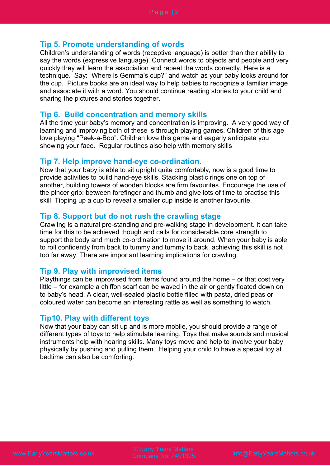## **Tip 5. Promote understanding of words**

Children's understanding of words (receptive language) is better than their ability to say the words (expressive language). Connect words to objects and people and very quickly they will learn the association and repeat the words correctly. Here is a technique. Say: "Where is Gemma's cup?" and watch as your baby looks around for the cup. Picture books are an ideal way to help babies to recognize a familiar image and associate it with a word. You should continue reading stories to your child and sharing the pictures and stories together.

## **Tip 6. Build concentration and memory skills**

All the time your baby's memory and concentration is improving. A very good way of learning and improving both of these is through playing games. Children of this age love playing "Peek-a-Boo". Children love this game and eagerly anticipate you showing your face. Regular routines also help with memory skills

#### **Tip 7. Help improve hand-eye co-ordination.**

Now that your baby is able to sit upright quite comfortably, now is a good time to provide activities to build hand-eye skills. Stacking plastic rings one on top of another, building towers of wooden blocks are firm favourites. Encourage the use of the pincer grip: between forefinger and thumb and give lots of time to practise this skill. Tipping up a cup to reveal a smaller cup inside is another favourite.

## **Tip 8. Support but do not rush the crawling stage**

Crawling is a natural pre-standing and pre-walking stage in development. It can take time for this to be achieved though and calls for considerable core strength to support the body and much co-ordination to move it around. When your baby is able to roll confidently from back to tummy and tummy to back, achieving this skill is not too far away. There are important learning implications for crawling.

### **Tip 9. Play with improvised items**

Playthings can be improvised from items found around the home – or that cost very little – for example a chiffon scarf can be waved in the air or gently floated down on to baby's head. A clear, well-sealed plastic bottle filled with pasta, dried peas or coloured water can become an interesting rattle as well as something to watch.

## **Tip10. Play with different toys**

Now that your baby can sit up and is more mobile, you should provide a range of different types of toys to help stimulate learning. Toys that make sounds and musical instruments help with hearing skills. Many toys move and help to involve your baby physically by pushing and pulling them. Helping your child to have a special toy at bedtime can also be comforting.